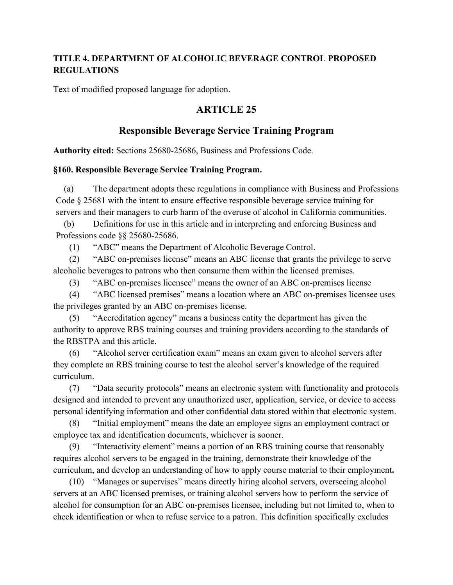### **TITLE 4. DEPARTMENT OF ALCOHOLIC BEVERAGE CONTROL PROPOSED REGULATIONS**

Text of modified proposed language for adoption.

# **ARTICLE 25**

# **Responsible Beverage Service Training Program**

**Authority cited:** Sections 25680-25686, Business and Professions Code.

#### **§160. Responsible Beverage Service Training Program.**

(a) The department adopts these regulations in compliance with Business and Professions Code § 25681 with the intent to ensure effective responsible beverage service training for servers and their managers to curb harm of the overuse of alcohol in California communities.

(b) Definitions for use in this article and in interpreting and enforcing Business and Professions code §§ 25680-25686.

(1) "ABC" means the Department of Alcoholic Beverage Control.

(2) "ABC on-premises license" means an ABC license that grants the privilege to serve alcoholic beverages to patrons who then consume them within the licensed premises.

(3) "ABC on-premises licensee" means the owner of an ABC on-premises license

(4) "ABC licensed premises" means a location where an ABC on-premises licensee uses the privileges granted by an ABC on-premises license.

(5) "Accreditation agency" means a business entity the department has given the authority to approve RBS training courses and training providers according to the standards of the RBSTPA and this article.

(6) "Alcohol server certification exam" means an exam given to alcohol servers after they complete an RBS training course to test the alcohol server's knowledge of the required curriculum.

(7) "Data security protocols" means an electronic system with functionality and protocols designed and intended to prevent any unauthorized user, application, service, or device to access personal identifying information and other confidential data stored within that electronic system.

(8) "Initial employment" means the date an employee signs an employment contract or employee tax and identification documents, whichever is sooner.

(9) "Interactivity element" means a portion of an RBS training course that reasonably requires alcohol servers to be engaged in the training, demonstrate their knowledge of the curriculum, and develop an understanding of how to apply course material to their employment**.**

(10) "Manages or supervises" means directly hiring alcohol servers, overseeing alcohol servers at an ABC licensed premises, or training alcohol servers how to perform the service of alcohol for consumption for an ABC on-premises licensee, including but not limited to, when to check identification or when to refuse service to a patron. This definition specifically excludes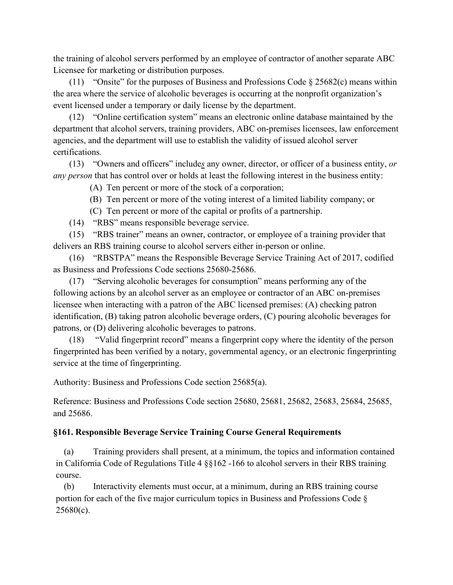the training of alcohol servers performed by an employee of contractor of another separate ABC Licensee for marketing or distribution purposes.

(11) "Onsite" for the purposes of Business and Professions Code  $\S 25682(c)$  means within the area where the service of alcoholic beverages is occurring at the nonprofit organization's event licensed under a temporary or daily license by the department.

(12) "Online certification system" means an electronic online database maintained by the department that alcohol servers, training providers, ABC on-premises licensees, law enforcement agencies, and the department will use to establish the validity of issued alcohol server certifications.

(13) "Owners and officers" include*s* any owner, director, or officer of a business entity, *or any person* that has control over or holds at least the following interest in the business entity:

(A) Ten percent or more of the stock of a corporation;

- (B) Ten percent or more of the voting interest of a limited liability company; or
- (C) Ten percent or more of the capital or profits of a partnership.
- (14) "RBS" means responsible beverage service.

(15) "RBS trainer" means an owner, contractor, or employee of a training provider that delivers an RBS training course to alcohol servers either in-person or online.

(16) "RBSTPA" means the Responsible Beverage Service Training Act of 2017, codified as Business and Professions Code sections 25680-25686.

(17) "Serving alcoholic beverages for consumption" means performing any of the following actions by an alcohol server as an employee or contractor of an ABC on-premises licensee when interacting with a patron of the ABC licensed premises: (A) checking patron identification, (B) taking patron alcoholic beverage orders, (C) pouring alcoholic beverages for patrons, or (D) delivering alcoholic beverages to patrons.

(18) "Valid fingerprint record" means a fingerprint copy where the identity of the person fingerprinted has been verified by a notary, governmental agency, or an electronic fingerprinting service at the time of fingerprinting.

Authority: Business and Professions Code section 25685(a).

Reference: Business and Professions Code section 25680, 25681, 25682, 25683, 25684, 25685, and 25686.

#### **§161. Responsible Beverage Service Training Course General Requirements**

(a) Training providers shall present, at a minimum, the topics and information contained in California Code of Regulations Title 4 §§162 -166 to alcohol servers in their RBS training course.

(b) Interactivity elements must occur, at a minimum, during an RBS training course portion for each of the five major curriculum topics in Business and Professions Code §  $25680(c)$ .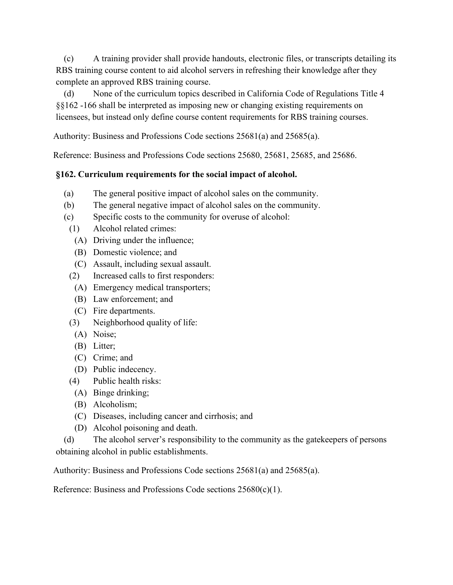(c) A training provider shall provide handouts, electronic files, or transcripts detailing its RBS training course content to aid alcohol servers in refreshing their knowledge after they complete an approved RBS training course.

(d) None of the curriculum topics described in California Code of Regulations Title 4 §§162 -166 shall be interpreted as imposing new or changing existing requirements on licensees, but instead only define course content requirements for RBS training courses.

Authority: Business and Professions Code sections 25681(a) and 25685(a).

Reference: Business and Professions Code sections 25680, 25681, 25685, and 25686.

### **§162. Curriculum requirements for the social impact of alcohol.**

- (a) The general positive impact of alcohol sales on the community.
- (b) The general negative impact of alcohol sales on the community.
- (c) Specific costs to the community for overuse of alcohol:
- (1) Alcohol related crimes:
	- (A) Driving under the influence;
	- (B) Domestic violence; and
	- (C) Assault, including sexual assault.
- (2) Increased calls to first responders:
- (A) Emergency medical transporters;
- (B) Law enforcement; and
- (C) Fire departments.
- (3) Neighborhood quality of life:
	- (A) Noise;
	- (B) Litter;
	- (C) Crime; and
- (D) Public indecency.
- (4) Public health risks:
- (A) Binge drinking;
- (B) Alcoholism;
- (C) Diseases, including cancer and cirrhosis; and
- (D) Alcohol poisoning and death.

(d) The alcohol server's responsibility to the community as the gatekeepers of persons obtaining alcohol in public establishments.

Authority: Business and Professions Code sections 25681(a) and 25685(a).

Reference: Business and Professions Code sections 25680(c)(1).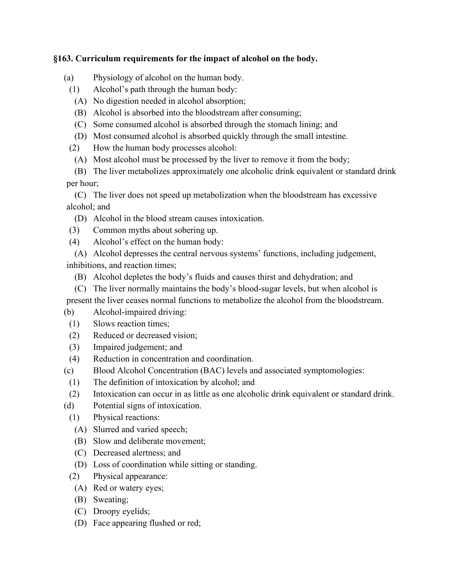#### **§163. Curriculum requirements for the impact of alcohol on the body.**

- (a) Physiology of alcohol on the human body.
	- (1) Alcohol's path through the human body:
		- (A) No digestion needed in alcohol absorption;
		- (B) Alcohol is absorbed into the bloodstream after consuming;
		- (C) Some consumed alcohol is absorbed through the stomach lining; and
		- (D) Most consumed alcohol is absorbed quickly through the small intestine.
	- (2) How the human body processes alcohol:
		- (A) Most alcohol must be processed by the liver to remove it from the body;

(B) The liver metabolizes approximately one alcoholic drink equivalent or standard drink per hour;

(C) The liver does not speed up metabolization when the bloodstream has excessive alcohol; and

- (D) Alcohol in the blood stream causes intoxication.
- (3) Common myths about sobering up.
- (4) Alcohol's effect on the human body:

(A) Alcohol depresses the central nervous systems' functions, including judgement, inhibitions, and reaction times;

- (B) Alcohol depletes the body's fluids and causes thirst and dehydration; and
- (C) The liver normally maintains the body's blood-sugar levels, but when alcohol is

present the liver ceases normal functions to metabolize the alcohol from the bloodstream.

- (b) Alcohol-impaired driving:
	- (1) Slows reaction times;
	- (2) Reduced or decreased vision;
	- (3) Impaired judgement; and
	- (4) Reduction in concentration and coordination.
- (c) Blood Alcohol Concentration (BAC) levels and associated symptomologies:
- (1) The definition of intoxication by alcohol; and
- (2) Intoxication can occur in as little as one alcoholic drink equivalent or standard drink.
- (d) Potential signs of intoxication.
	- (1) Physical reactions:
		- (A) Slurred and varied speech;
		- (B) Slow and deliberate movement;
		- (C) Decreased alertness; and
		- (D) Loss of coordination while sitting or standing.
	- (2) Physical appearance:
		- (A) Red or watery eyes;
		- (B) Sweating;
		- (C) Droopy eyelids;
		- (D) Face appearing flushed or red;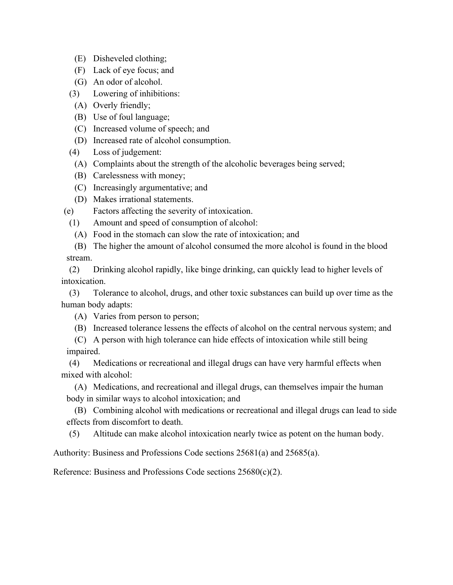- (E) Disheveled clothing;
- (F) Lack of eye focus; and
- (G) An odor of alcohol.
- (3) Lowering of inhibitions:
	- (A) Overly friendly;
	- (B) Use of foul language;
	- (C) Increased volume of speech; and
	- (D) Increased rate of alcohol consumption.
- (4) Loss of judgement:
	- (A) Complaints about the strength of the alcoholic beverages being served;
	- (B) Carelessness with money;
	- (C) Increasingly argumentative; and
	- (D) Makes irrational statements.
- (e) Factors affecting the severity of intoxication.
	- (1) Amount and speed of consumption of alcohol:
		- (A) Food in the stomach can slow the rate of intoxication; and
- (B) The higher the amount of alcohol consumed the more alcohol is found in the blood stream.

(2) Drinking alcohol rapidly, like binge drinking, can quickly lead to higher levels of intoxication.

(3) Tolerance to alcohol, drugs, and other toxic substances can build up over time as the human body adapts:

- (A) Varies from person to person;
- (B) Increased tolerance lessens the effects of alcohol on the central nervous system; and
- (C) A person with high tolerance can hide effects of intoxication while still being impaired.

(4) Medications or recreational and illegal drugs can have very harmful effects when mixed with alcohol:

(A) Medications, and recreational and illegal drugs, can themselves impair the human body in similar ways to alcohol intoxication; and

(B) Combining alcohol with medications or recreational and illegal drugs can lead to side effects from discomfort to death.

(5) Altitude can make alcohol intoxication nearly twice as potent on the human body.

Authority: Business and Professions Code sections 25681(a) and 25685(a).

Reference: Business and Professions Code sections 25680(c)(2).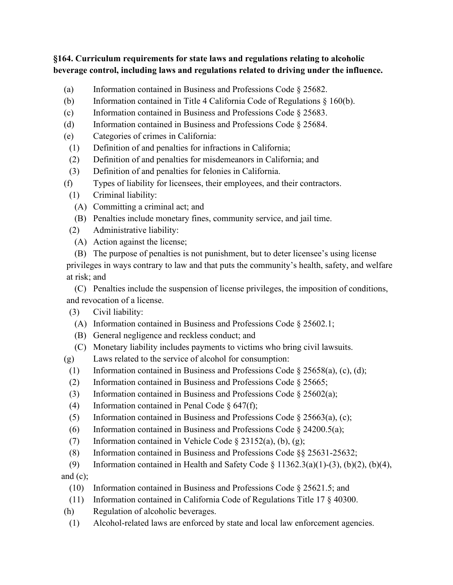### **§164. Curriculum requirements for state laws and regulations relating to alcoholic beverage control, including laws and regulations related to driving under the influence.**

- (a) Information contained in Business and Professions Code § 25682.
- (b) Information contained in Title 4 California Code of Regulations  $\S$  160(b).
- (c) Information contained in Business and Professions Code § 25683.
- (d) Information contained in Business and Professions Code § 25684.
- (e) Categories of crimes in California:
- (1) Definition of and penalties for infractions in California;
- (2) Definition of and penalties for misdemeanors in California; and
- (3) Definition of and penalties for felonies in California.
- (f) Types of liability for licensees, their employees, and their contractors.
	- (1) Criminal liability:
		- (A) Committing a criminal act; and
	- (B) Penalties include monetary fines, community service, and jail time.
	- (2) Administrative liability:
		- (A) Action against the license;
	- (B) The purpose of penalties is not punishment, but to deter licensee's using license

privileges in ways contrary to law and that puts the community's health, safety, and welfare at risk; and

(C) Penalties include the suspension of license privileges, the imposition of conditions, and revocation of a license.

- (3) Civil liability:
	- (A) Information contained in Business and Professions Code § 25602.1;
	- (B) General negligence and reckless conduct; and
	- (C) Monetary liability includes payments to victims who bring civil lawsuits.
- (g) Laws related to the service of alcohol for consumption:
	- (1) Information contained in Business and Professions Code  $\S 25658(a)$ , (c), (d);
	- (2) Information contained in Business and Professions Code § 25665;
	- (3) Information contained in Business and Professions Code § 25602(a);
	- (4) Information contained in Penal Code  $\S$  647(f);
	- (5) Information contained in Business and Professions Code  $\S 25663(a)$ , (c);
	- (6) Information contained in Business and Professions Code  $\S$  24200.5(a);
	- (7) Information contained in Vehicle Code  $\S 23152(a)$ , (b), (g);
	- (8) Information contained in Business and Professions Code §§ 25631-25632;
- (9) Information contained in Health and Safety Code  $\S$  11362.3(a)(1)-(3), (b)(2), (b)(4), and  $(c)$ ;
	- (10) Information contained in Business and Professions Code § 25621.5; and
	- (11) Information contained in California Code of Regulations Title 17 § 40300.
- (h) Regulation of alcoholic beverages.
	- (1) Alcohol-related laws are enforced by state and local law enforcement agencies.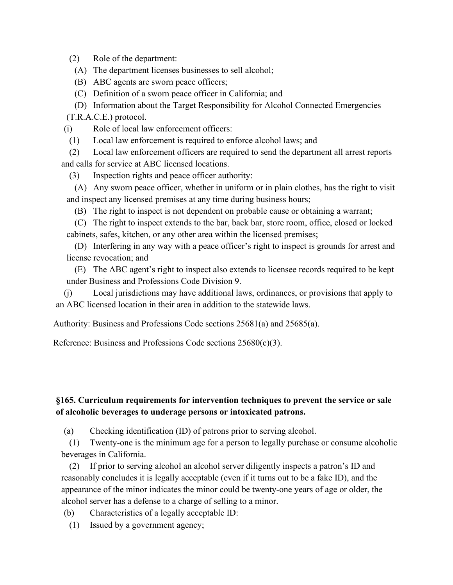(2) Role of the department:

(A) The department licenses businesses to sell alcohol;

(B) ABC agents are sworn peace officers;

(C) Definition of a sworn peace officer in California; and

(D) Information about the Target Responsibility for Alcohol Connected Emergencies (T.R.A.C.E.) protocol.

(i) Role of local law enforcement officers:

(1) Local law enforcement is required to enforce alcohol laws; and

(2) Local law enforcement officers are required to send the department all arrest reports and calls for service at ABC licensed locations.

(3) Inspection rights and peace officer authority:

(A) Any sworn peace officer, whether in uniform or in plain clothes, has the right to visit and inspect any licensed premises at any time during business hours;

(B) The right to inspect is not dependent on probable cause or obtaining a warrant;

(C) The right to inspect extends to the bar, back bar, store room, office, closed or locked cabinets, safes, kitchen, or any other area within the licensed premises;

(D) Interfering in any way with a peace officer's right to inspect is grounds for arrest and license revocation; and

(E) The ABC agent's right to inspect also extends to licensee records required to be kept under Business and Professions Code Division 9.

(j) Local jurisdictions may have additional laws, ordinances, or provisions that apply to an ABC licensed location in their area in addition to the statewide laws.

Authority: Business and Professions Code sections 25681(a) and 25685(a).

Reference: Business and Professions Code sections 25680(c)(3).

# **§165. Curriculum requirements for intervention techniques to prevent the service or sale of alcoholic beverages to underage persons or intoxicated patrons.**

(a) Checking identification (ID) of patrons prior to serving alcohol.

(1) Twenty-one is the minimum age for a person to legally purchase or consume alcoholic beverages in California.

(2) If prior to serving alcohol an alcohol server diligently inspects a patron's ID and reasonably concludes it is legally acceptable (even if it turns out to be a fake ID), and the appearance of the minor indicates the minor could be twenty-one years of age or older, the alcohol server has a defense to a charge of selling to a minor.

(b) Characteristics of a legally acceptable ID:

(1) Issued by a government agency;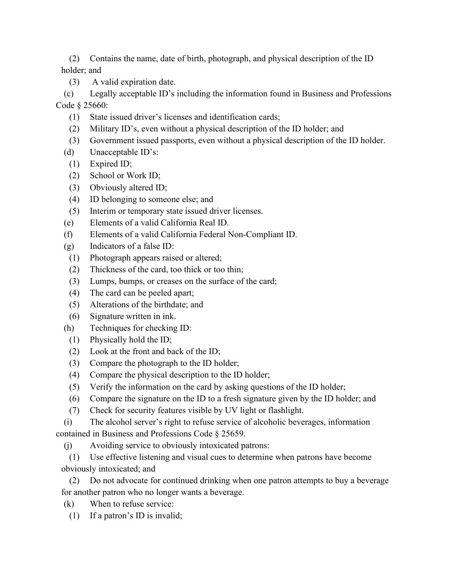(2) Contains the name, date of birth, photograph, and physical description of the ID holder; and

(3) A valid expiration date.

(c) Legally acceptable ID's including the information found in Business and Professions Code § 25660:

- (1) State issued driver's licenses and identification cards;
- (2) Military ID's, even without a physical description of the ID holder; and
- (3) Government issued passports, even without a physical description of the ID holder.
- (d) Unacceptable ID's:
	- (1) Expired ID;
	- (2) School or Work ID;
	- (3) Obviously altered ID;
	- (4) ID belonging to someone else; and
	- (5) Interim or temporary state issued driver licenses.
- (e) Elements of a valid California Real ID.
- (f) Elements of a valid California Federal Non-Compliant ID.
- (g) Indicators of a false ID:
	- (1) Photograph appears raised or altered;
	- (2) Thickness of the card, too thick or too thin;
	- (3) Lumps, bumps, or creases on the surface of the card;
	- (4) The card can be peeled apart;
	- (5) Alterations of the birthdate; and
- (6) Signature written in ink.
- (h) Techniques for checking ID:
	- (1) Physically hold the ID;
	- (2) Look at the front and back of the ID;
	- (3) Compare the photograph to the ID holder;
	- (4) Compare the physical description to the ID holder;
	- (5) Verify the information on the card by asking questions of the ID holder;
	- (6) Compare the signature on the ID to a fresh signature given by the ID holder; and
	- (7) Check for security features visible by UV light or flashlight.

(i) The alcohol server's right to refuse service of alcoholic beverages, information contained in Business and Professions Code § 25659.

(j) Avoiding service to obviously intoxicated patrons:

(1) Use effective listening and visual cues to determine when patrons have become obviously intoxicated; and

(2) Do not advocate for continued drinking when one patron attempts to buy a beverage for another patron who no longer wants a beverage.

- (k) When to refuse service:
	- (1) If a patron's ID is invalid;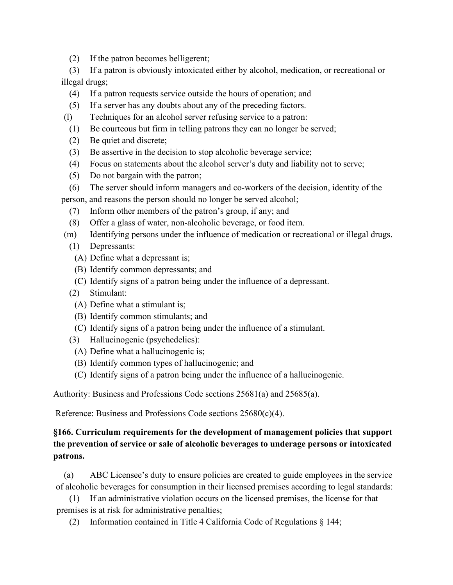(2) If the patron becomes belligerent;

(3) If a patron is obviously intoxicated either by alcohol, medication, or recreational or illegal drugs;

- (4) If a patron requests service outside the hours of operation; and
- (5) If a server has any doubts about any of the preceding factors.
- (l) Techniques for an alcohol server refusing service to a patron:
	- (1) Be courteous but firm in telling patrons they can no longer be served;
	- (2) Be quiet and discrete;
	- (3) Be assertive in the decision to stop alcoholic beverage service;
	- (4) Focus on statements about the alcohol server's duty and liability not to serve;
	- (5) Do not bargain with the patron;
- (6) The server should inform managers and co-workers of the decision, identity of the person, and reasons the person should no longer be served alcohol;
	- (7) Inform other members of the patron's group, if any; and
	- (8) Offer a glass of water, non-alcoholic beverage, or food item.
- (m) Identifying persons under the influence of medication or recreational or illegal drugs.
	- (1) Depressants:
		- (A) Define what a depressant is;
		- (B) Identify common depressants; and
		- (C) Identify signs of a patron being under the influence of a depressant.
	- (2) Stimulant:
		- (A) Define what a stimulant is;
		- (B) Identify common stimulants; and
	- (C) Identify signs of a patron being under the influence of a stimulant.
	- (3) Hallucinogenic (psychedelics):
		- (A) Define what a hallucinogenic is;
	- (B) Identify common types of hallucinogenic; and
	- (C) Identify signs of a patron being under the influence of a hallucinogenic.

Authority: Business and Professions Code sections 25681(a) and 25685(a).

Reference: Business and Professions Code sections 25680(c)(4).

# **§166. Curriculum requirements for the development of management policies that support the prevention of service or sale of alcoholic beverages to underage persons or intoxicated patrons.**

(a) ABC Licensee's duty to ensure policies are created to guide employees in the service of alcoholic beverages for consumption in their licensed premises according to legal standards:

(1) If an administrative violation occurs on the licensed premises, the license for that premises is at risk for administrative penalties;

(2) Information contained in Title 4 California Code of Regulations § 144;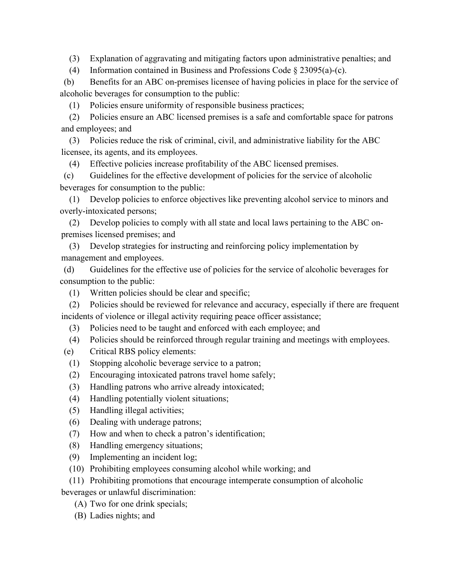(3) Explanation of aggravating and mitigating factors upon administrative penalties; and

(4) Information contained in Business and Professions Code § 23095(a)-(c).

(b) Benefits for an ABC on-premises licensee of having policies in place for the service of alcoholic beverages for consumption to the public:

(1) Policies ensure uniformity of responsible business practices;

(2) Policies ensure an ABC licensed premises is a safe and comfortable space for patrons and employees; and

(3) Policies reduce the risk of criminal, civil, and administrative liability for the ABC licensee, its agents, and its employees.

(4) Effective policies increase profitability of the ABC licensed premises.

(c) Guidelines for the effective development of policies for the service of alcoholic beverages for consumption to the public:

(1) Develop policies to enforce objectives like preventing alcohol service to minors and overly-intoxicated persons;

(2) Develop policies to comply with all state and local laws pertaining to the ABC onpremises licensed premises; and

(3) Develop strategies for instructing and reinforcing policy implementation by management and employees.

(d) Guidelines for the effective use of policies for the service of alcoholic beverages for consumption to the public:

(1) Written policies should be clear and specific;

(2) Policies should be reviewed for relevance and accuracy, especially if there are frequent incidents of violence or illegal activity requiring peace officer assistance;

- (3) Policies need to be taught and enforced with each employee; and
- (4) Policies should be reinforced through regular training and meetings with employees.
- (e) Critical RBS policy elements:
	- (1) Stopping alcoholic beverage service to a patron;
	- (2) Encouraging intoxicated patrons travel home safely;
	- (3) Handling patrons who arrive already intoxicated;
	- (4) Handling potentially violent situations;
	- (5) Handling illegal activities;
	- (6) Dealing with underage patrons;
	- (7) How and when to check a patron's identification;
	- (8) Handling emergency situations;
	- (9) Implementing an incident log;
	- (10) Prohibiting employees consuming alcohol while working; and

(11) Prohibiting promotions that encourage intemperate consumption of alcoholic beverages or unlawful discrimination:

- (A) Two for one drink specials;
- (B) Ladies nights; and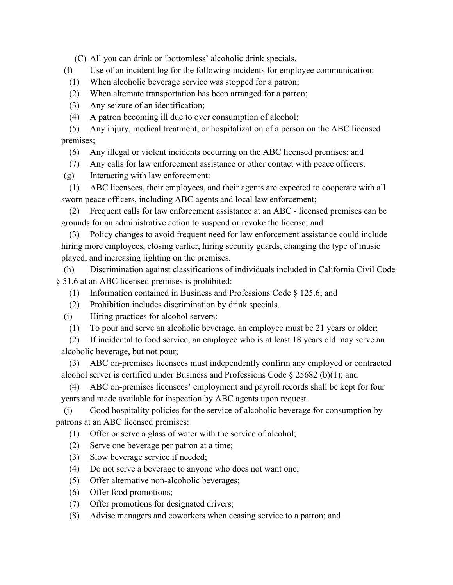(C) All you can drink or 'bottomless' alcoholic drink specials.

(f) Use of an incident log for the following incidents for employee communication:

- (1) When alcoholic beverage service was stopped for a patron;
- (2) When alternate transportation has been arranged for a patron;

(3) Any seizure of an identification;

(4) A patron becoming ill due to over consumption of alcohol;

(5) Any injury, medical treatment, or hospitalization of a person on the ABC licensed premises;

(6) Any illegal or violent incidents occurring on the ABC licensed premises; and

(7) Any calls for law enforcement assistance or other contact with peace officers.

(g) Interacting with law enforcement:

(1) ABC licensees, their employees, and their agents are expected to cooperate with all sworn peace officers, including ABC agents and local law enforcement;

(2) Frequent calls for law enforcement assistance at an ABC - licensed premises can be grounds for an administrative action to suspend or revoke the license; and

(3) Policy changes to avoid frequent need for law enforcement assistance could include hiring more employees, closing earlier, hiring security guards, changing the type of music played, and increasing lighting on the premises.

(h) Discrimination against classifications of individuals included in California Civil Code § 51.6 at an ABC licensed premises is prohibited:

- (1) Information contained in Business and Professions Code § 125.6; and
- (2) Prohibition includes discrimination by drink specials.

(i) Hiring practices for alcohol servers:

(1) To pour and serve an alcoholic beverage, an employee must be 21 years or older;

(2) If incidental to food service, an employee who is at least 18 years old may serve an alcoholic beverage, but not pour;

(3) ABC on-premises licensees must independently confirm any employed or contracted alcohol server is certified under Business and Professions Code  $\S 25682$  (b)(1); and

(4) ABC on-premises licensees' employment and payroll records shall be kept for four years and made available for inspection by ABC agents upon request.

(j) Good hospitality policies for the service of alcoholic beverage for consumption by patrons at an ABC licensed premises:

(1) Offer or serve a glass of water with the service of alcohol;

- (2) Serve one beverage per patron at a time;
- (3) Slow beverage service if needed;
- (4) Do not serve a beverage to anyone who does not want one;
- (5) Offer alternative non-alcoholic beverages;
- (6) Offer food promotions;
- (7) Offer promotions for designated drivers;
- (8) Advise managers and coworkers when ceasing service to a patron; and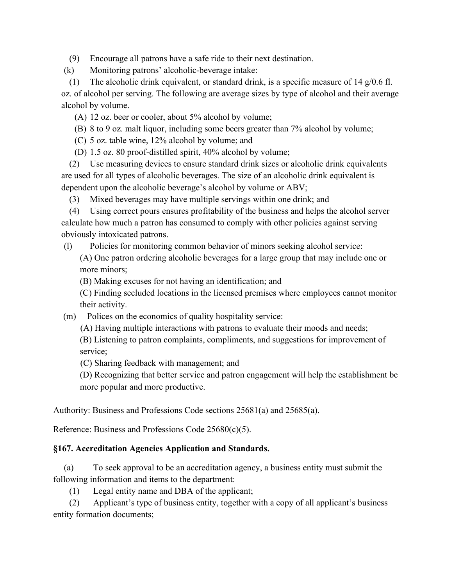(9) Encourage all patrons have a safe ride to their next destination.

(k) Monitoring patrons' alcoholic-beverage intake:

(1) The alcoholic drink equivalent, or standard drink, is a specific measure of 14  $g/0.6$  fl. oz. of alcohol per serving. The following are average sizes by type of alcohol and their average alcohol by volume.

(A) 12 oz. beer or cooler, about 5% alcohol by volume;

(B) 8 to 9 oz. malt liquor, including some beers greater than 7% alcohol by volume;

(C) 5 oz. table wine, 12% alcohol by volume; and

(D) 1.5 oz. 80 proof-distilled spirit, 40% alcohol by volume;

(2) Use measuring devices to ensure standard drink sizes or alcoholic drink equivalents are used for all types of alcoholic beverages. The size of an alcoholic drink equivalent is dependent upon the alcoholic beverage's alcohol by volume or ABV;

(3) Mixed beverages may have multiple servings within one drink; and

(4) Using correct pours ensures profitability of the business and helps the alcohol server calculate how much a patron has consumed to comply with other policies against serving obviously intoxicated patrons.

(l) Policies for monitoring common behavior of minors seeking alcohol service:

(A) One patron ordering alcoholic beverages for a large group that may include one or more minors;

(B) Making excuses for not having an identification; and

(C) Finding secluded locations in the licensed premises where employees cannot monitor their activity.

(m) Polices on the economics of quality hospitality service:

(A) Having multiple interactions with patrons to evaluate their moods and needs;

(B) Listening to patron complaints, compliments, and suggestions for improvement of service;

(C) Sharing feedback with management; and

(D) Recognizing that better service and patron engagement will help the establishment be more popular and more productive.

Authority: Business and Professions Code sections 25681(a) and 25685(a).

Reference: Business and Professions Code 25680(c)(5).

#### **§167. Accreditation Agencies Application and Standards.**

(a) To seek approval to be an accreditation agency, a business entity must submit the following information and items to the department:

(1) Legal entity name and DBA of the applicant;

(2) Applicant's type of business entity, together with a copy of all applicant's business entity formation documents;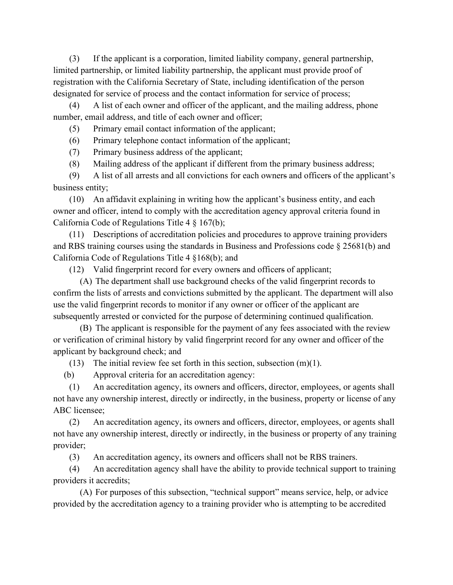(3) If the applicant is a corporation, limited liability company, general partnership, limited partnership, or limited liability partnership, the applicant must provide proof of registration with the California Secretary of State, including identification of the person designated for service of process and the contact information for service of process;

(4) A list of each owner and officer of the applicant, and the mailing address, phone number, email address, and title of each owner and officer;

(5) Primary email contact information of the applicant;

(6) Primary telephone contact information of the applicant;

(7) Primary business address of the applicant;

(8) Mailing address of the applicant if different from the primary business address;

(9) A list of all arrests and all convictions for each owners and officers of the applicant's business entity;

(10) An affidavit explaining in writing how the applicant's business entity, and each owner and officer, intend to comply with the accreditation agency approval criteria found in California Code of Regulations Title 4 § 167(b);

(11) Descriptions of accreditation policies and procedures to approve training providers and RBS training courses using the standards in Business and Professions code § 25681(b) and California Code of Regulations Title 4 §168(b); and

(12) Valid fingerprint record for every owners and officers of applicant;

(A) The department shall use background checks of the valid fingerprint records to confirm the lists of arrests and convictions submitted by the applicant. The department will also use the valid fingerprint records to monitor if any owner or officer of the applicant are subsequently arrested or convicted for the purpose of determining continued qualification.

(B) The applicant is responsible for the payment of any fees associated with the review or verification of criminal history by valid fingerprint record for any owner and officer of the applicant by background check; and

(13) The initial review fee set forth in this section, subsection  $(m)(1)$ .

(b) Approval criteria for an accreditation agency:

(1) An accreditation agency, its owners and officers, director, employees, or agents shall not have any ownership interest, directly or indirectly, in the business, property or license of any ABC licensee;

(2) An accreditation agency, its owners and officers, director, employees, or agents shall not have any ownership interest, directly or indirectly, in the business or property of any training provider;

(3) An accreditation agency, its owners and officers shall not be RBS trainers.

(4) An accreditation agency shall have the ability to provide technical support to training providers it accredits;

(A) For purposes of this subsection, "technical support" means service, help, or advice provided by the accreditation agency to a training provider who is attempting to be accredited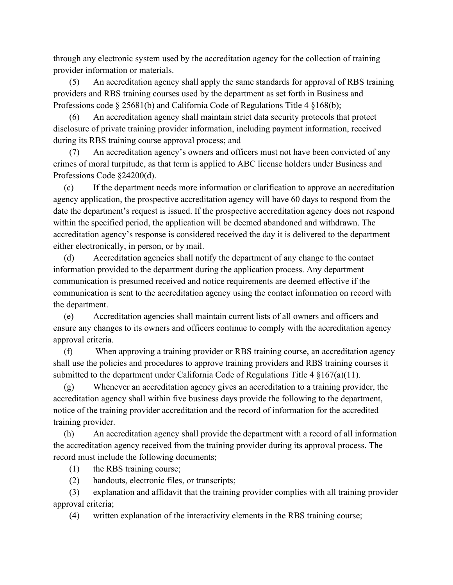through any electronic system used by the accreditation agency for the collection of training provider information or materials.

(5) An accreditation agency shall apply the same standards for approval of RBS training providers and RBS training courses used by the department as set forth in Business and Professions code § 25681(b) and California Code of Regulations Title 4 §168(b);

(6) An accreditation agency shall maintain strict data security protocols that protect disclosure of private training provider information, including payment information, received during its RBS training course approval process; and

An accreditation agency's owners and officers must not have been convicted of any crimes of moral turpitude, as that term is applied to ABC license holders under Business and Professions Code §24200(d).

(c) If the department needs more information or clarification to approve an accreditation agency application, the prospective accreditation agency will have 60 days to respond from the date the department's request is issued. If the prospective accreditation agency does not respond within the specified period, the application will be deemed abandoned and withdrawn. The accreditation agency's response is considered received the day it is delivered to the department either electronically, in person, or by mail.

(d) Accreditation agencies shall notify the department of any change to the contact information provided to the department during the application process. Any department communication is presumed received and notice requirements are deemed effective if the communication is sent to the accreditation agency using the contact information on record with the department.

(e) Accreditation agencies shall maintain current lists of all owners and officers and ensure any changes to its owners and officers continue to comply with the accreditation agency approval criteria.

(f) When approving a training provider or RBS training course, an accreditation agency shall use the policies and procedures to approve training providers and RBS training courses it submitted to the department under California Code of Regulations Title 4 §167(a)(11).

(g) Whenever an accreditation agency gives an accreditation to a training provider, the accreditation agency shall within five business days provide the following to the department, notice of the training provider accreditation and the record of information for the accredited training provider.

(h) An accreditation agency shall provide the department with a record of all information the accreditation agency received from the training provider during its approval process. The record must include the following documents;

(1) the RBS training course;

(2) handouts, electronic files, or transcripts;

(3) explanation and affidavit that the training provider complies with all training provider approval criteria;

(4) written explanation of the interactivity elements in the RBS training course;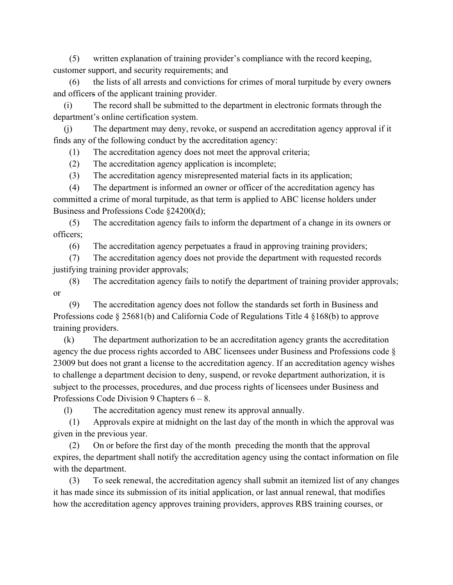(5) written explanation of training provider's compliance with the record keeping, customer support, and security requirements; and

(6) the lists of all arrests and convictions for crimes of moral turpitude by every owners and officers of the applicant training provider.

(i) The record shall be submitted to the department in electronic formats through the department's online certification system.

(j) The department may deny, revoke, or suspend an accreditation agency approval if it finds any of the following conduct by the accreditation agency:

(1) The accreditation agency does not meet the approval criteria;

(2) The accreditation agency application is incomplete;

(3) The accreditation agency misrepresented material facts in its application;

(4) The department is informed an owner or officer of the accreditation agency has committed a crime of moral turpitude, as that term is applied to ABC license holders under Business and Professions Code §24200(d);

(5) The accreditation agency fails to inform the department of a change in its owners or officers;

(6) The accreditation agency perpetuates a fraud in approving training providers;

(7) The accreditation agency does not provide the department with requested records justifying training provider approvals;

(8) The accreditation agency fails to notify the department of training provider approvals; or

(9) The accreditation agency does not follow the standards set forth in Business and Professions code § 25681(b) and California Code of Regulations Title 4 §168(b) to approve training providers.

(k) The department authorization to be an accreditation agency grants the accreditation agency the due process rights accorded to ABC licensees under Business and Professions code § 23009 but does not grant a license to the accreditation agency. If an accreditation agency wishes to challenge a department decision to deny, suspend, or revoke department authorization, it is subject to the processes, procedures, and due process rights of licensees under Business and Professions Code Division 9 Chapters 6 – 8.

(l) The accreditation agency must renew its approval annually.

(1) Approvals expire at midnight on the last day of the month in which the approval was given in the previous year.

(2) On or before the first day of the month preceding the month that the approval expires, the department shall notify the accreditation agency using the contact information on file with the department.

(3) To seek renewal, the accreditation agency shall submit an itemized list of any changes it has made since its submission of its initial application, or last annual renewal, that modifies how the accreditation agency approves training providers, approves RBS training courses, or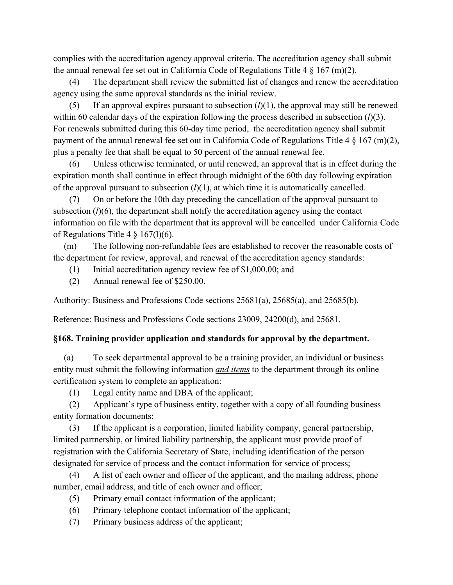complies with the accreditation agency approval criteria. The accreditation agency shall submit the annual renewal fee set out in California Code of Regulations Title 4  $\S$  167 (m)(2).

(4) The department shall review the submitted list of changes and renew the accreditation agency using the same approval standards as the initial review.

(5) If an approval expires pursuant to subsection  $(l)(1)$ , the approval may still be renewed within 60 calendar days of the expiration following the process described in subsection (*l*)(3). For renewals submitted during this 60-day time period, the accreditation agency shall submit payment of the annual renewal fee set out in California Code of Regulations Title 4 § 167 (m)(2), plus a penalty fee that shall be equal to 50 percent of the annual renewal fee.

(6) Unless otherwise terminated, or until renewed, an approval that is in effect during the expiration month shall continue in effect through midnight of the 60th day following expiration of the approval pursuant to subsection  $(l)(1)$ , at which time it is automatically cancelled.

(7) On or before the 10th day preceding the cancellation of the approval pursuant to subsection (*l*)(6), the department shall notify the accreditation agency using the contact information on file with the department that its approval will be cancelled under California Code of Regulations Title  $4 \frac{1}{9}$  167(1)(6).

(m) The following non-refundable fees are established to recover the reasonable costs of the department for review, approval, and renewal of the accreditation agency standards:

- (1) Initial accreditation agency review fee of \$1,000.00; and
- (2) Annual renewal fee of \$250.00.

Authority: Business and Professions Code sections 25681(a), 25685(a), and 25685(b).

Reference: Business and Professions Code sections 23009, 24200(d), and 25681.

#### **§168. Training provider application and standards for approval by the department.**

(a) To seek departmental approval to be a training provider, an individual or business entity must submit the following information *and items* to the department through its online certification system to complete an application:

(1) Legal entity name and DBA of the applicant;

(2) Applicant's type of business entity, together with a copy of all founding business entity formation documents;

(3) If the applicant is a corporation, limited liability company, general partnership, limited partnership, or limited liability partnership, the applicant must provide proof of registration with the California Secretary of State, including identification of the person designated for service of process and the contact information for service of process;

(4) A list of each owner and officer of the applicant, and the mailing address, phone number, email address, and title of each owner and officer;

- (5) Primary email contact information of the applicant;
- (6) Primary telephone contact information of the applicant;
- (7) Primary business address of the applicant;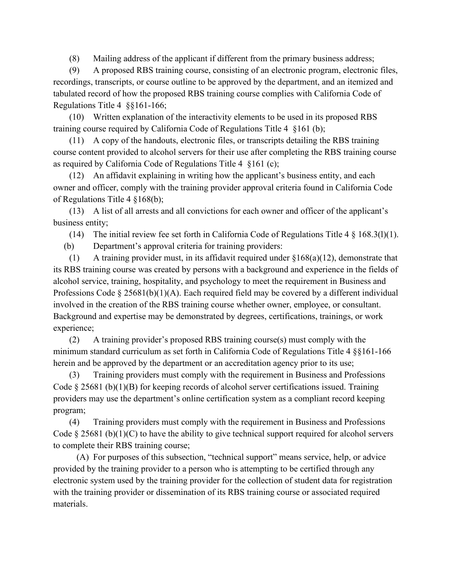(8) Mailing address of the applicant if different from the primary business address;

(9) A proposed RBS training course, consisting of an electronic program, electronic files, recordings, transcripts, or course outline to be approved by the department, and an itemized and tabulated record of how the proposed RBS training course complies with California Code of Regulations Title 4 §§161-166;

(10) Written explanation of the interactivity elements to be used in its proposed RBS training course required by California Code of Regulations Title 4 §161 (b);

(11) A copy of the handouts, electronic files, or transcripts detailing the RBS training course content provided to alcohol servers for their use after completing the RBS training course as required by California Code of Regulations Title 4 §161 (c);

(12) An affidavit explaining in writing how the applicant's business entity, and each owner and officer, comply with the training provider approval criteria found in California Code of Regulations Title 4 §168(b);

(13) A list of all arrests and all convictions for each owner and officer of the applicant's business entity;

(14) The initial review fee set forth in California Code of Regulations Title  $4 \frac{8}{9}$  168.3(1)(1).

(b) Department's approval criteria for training providers:

(1) A training provider must, in its affidavit required under §168(a)(12), demonstrate that its RBS training course was created by persons with a background and experience in the fields of alcohol service, training, hospitality, and psychology to meet the requirement in Business and Professions Code § 25681(b)(1)(A). Each required field may be covered by a different individual involved in the creation of the RBS training course whether owner, employee, or consultant. Background and expertise may be demonstrated by degrees, certifications, trainings, or work experience;

(2) A training provider's proposed RBS training course(s) must comply with the minimum standard curriculum as set forth in California Code of Regulations Title 4 §§161-166 herein and be approved by the department or an accreditation agency prior to its use;

(3) Training providers must comply with the requirement in Business and Professions Code § 25681 (b)(1)(B) for keeping records of alcohol server certifications issued. Training providers may use the department's online certification system as a compliant record keeping program;

(4) Training providers must comply with the requirement in Business and Professions Code  $\S 25681$  (b)(1)(C) to have the ability to give technical support required for alcohol servers to complete their RBS training course;

(A) For purposes of this subsection, "technical support" means service, help, or advice provided by the training provider to a person who is attempting to be certified through any electronic system used by the training provider for the collection of student data for registration with the training provider or dissemination of its RBS training course or associated required materials.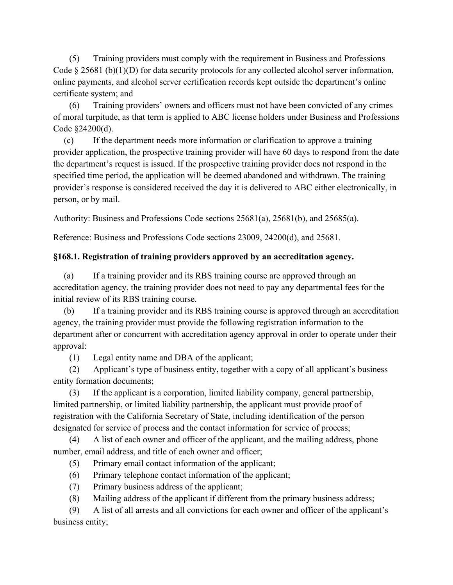(5) Training providers must comply with the requirement in Business and Professions Code § 25681 (b)(1)(D) for data security protocols for any collected alcohol server information, online payments, and alcohol server certification records kept outside the department's online certificate system; and

(6) Training providers' owners and officers must not have been convicted of any crimes of moral turpitude, as that term is applied to ABC license holders under Business and Professions Code §24200(d).

(c) If the department needs more information or clarification to approve a training provider application, the prospective training provider will have 60 days to respond from the date the department's request is issued. If the prospective training provider does not respond in the specified time period, the application will be deemed abandoned and withdrawn. The training provider's response is considered received the day it is delivered to ABC either electronically, in person, or by mail.

Authority: Business and Professions Code sections 25681(a), 25681(b), and 25685(a).

Reference: Business and Professions Code sections 23009, 24200(d), and 25681.

# **§168.1. Registration of training providers approved by an accreditation agency.**

(a) If a training provider and its RBS training course are approved through an accreditation agency, the training provider does not need to pay any departmental fees for the initial review of its RBS training course.

(b) If a training provider and its RBS training course is approved through an accreditation agency, the training provider must provide the following registration information to the department after or concurrent with accreditation agency approval in order to operate under their approval:

(1) Legal entity name and DBA of the applicant;

(2) Applicant's type of business entity, together with a copy of all applicant's business entity formation documents;

(3) If the applicant is a corporation, limited liability company, general partnership, limited partnership, or limited liability partnership, the applicant must provide proof of registration with the California Secretary of State, including identification of the person designated for service of process and the contact information for service of process;

(4) A list of each owner and officer of the applicant, and the mailing address, phone number, email address, and title of each owner and officer;

- (5) Primary email contact information of the applicant;
- (6) Primary telephone contact information of the applicant;
- (7) Primary business address of the applicant;
- (8) Mailing address of the applicant if different from the primary business address;

(9) A list of all arrests and all convictions for each owner and officer of the applicant's business entity;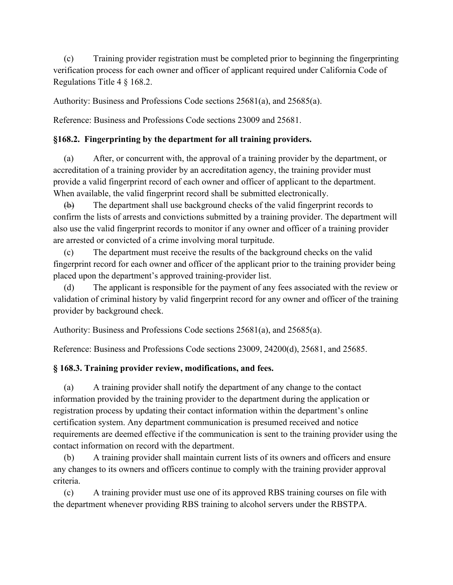(c) Training provider registration must be completed prior to beginning the fingerprinting verification process for each owner and officer of applicant required under California Code of Regulations Title 4 § 168.2.

Authority: Business and Professions Code sections 25681(a), and 25685(a).

Reference: Business and Professions Code sections 23009 and 25681.

### **§168.2. Fingerprinting by the department for all training providers.**

(a) After, or concurrent with, the approval of a training provider by the department, or accreditation of a training provider by an accreditation agency, the training provider must provide a valid fingerprint record of each owner and officer of applicant to the department. When available, the valid fingerprint record shall be submitted electronically.

(b) The department shall use background checks of the valid fingerprint records to confirm the lists of arrests and convictions submitted by a training provider. The department will also use the valid fingerprint records to monitor if any owner and officer of a training provider are arrested or convicted of a crime involving moral turpitude.

(c) The department must receive the results of the background checks on the valid fingerprint record for each owner and officer of the applicant prior to the training provider being placed upon the department's approved training-provider list.

(d) The applicant is responsible for the payment of any fees associated with the review or validation of criminal history by valid fingerprint record for any owner and officer of the training provider by background check.

Authority: Business and Professions Code sections 25681(a), and 25685(a).

Reference: Business and Professions Code sections 23009, 24200(d), 25681, and 25685.

# **§ 168.3. Training provider review, modifications, and fees.**

(a) A training provider shall notify the department of any change to the contact information provided by the training provider to the department during the application or registration process by updating their contact information within the department's online certification system. Any department communication is presumed received and notice requirements are deemed effective if the communication is sent to the training provider using the contact information on record with the department.

(b) A training provider shall maintain current lists of its owners and officers and ensure any changes to its owners and officers continue to comply with the training provider approval criteria.

(c) A training provider must use one of its approved RBS training courses on file with the department whenever providing RBS training to alcohol servers under the RBSTPA.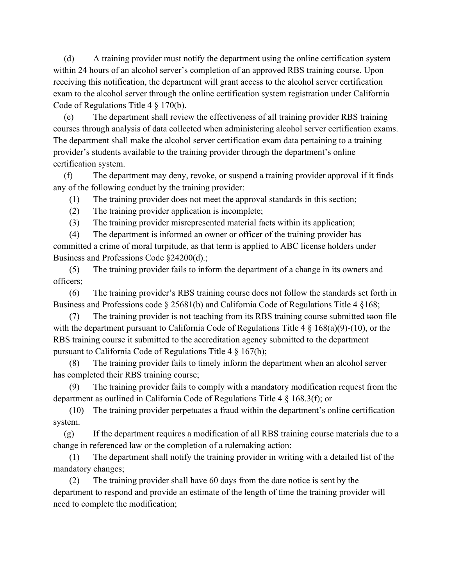(d) A training provider must notify the department using the online certification system within 24 hours of an alcohol server's completion of an approved RBS training course. Upon receiving this notification, the department will grant access to the alcohol server certification exam to the alcohol server through the online certification system registration under California Code of Regulations Title 4 § 170(b).

(e) The department shall review the effectiveness of all training provider RBS training courses through analysis of data collected when administering alcohol server certification exams. The department shall make the alcohol server certification exam data pertaining to a training provider's students available to the training provider through the department's online certification system.

(f) The department may deny, revoke, or suspend a training provider approval if it finds any of the following conduct by the training provider:

(1) The training provider does not meet the approval standards in this section;

(2) The training provider application is incomplete;

(3) The training provider misrepresented material facts within its application;

(4) The department is informed an owner or officer of the training provider has committed a crime of moral turpitude, as that term is applied to ABC license holders under Business and Professions Code §24200(d).;

(5) The training provider fails to inform the department of a change in its owners and officers;

(6) The training provider's RBS training course does not follow the standards set forth in Business and Professions code § 25681(b) and California Code of Regulations Title 4 §168;

(7) The training provider is not teaching from its RBS training course submitted toon file with the department pursuant to California Code of Regulations Title 4 § 168(a)(9)-(10), or the RBS training course it submitted to the accreditation agency submitted to the department pursuant to California Code of Regulations Title 4 § 167(h);

(8) The training provider fails to timely inform the department when an alcohol server has completed their RBS training course;

(9) The training provider fails to comply with a mandatory modification request from the department as outlined in California Code of Regulations Title 4 § 168.3(f); or

(10) The training provider perpetuates a fraud within the department's online certification system.

(g) If the department requires a modification of all RBS training course materials due to a change in referenced law or the completion of a rulemaking action:

(1) The department shall notify the training provider in writing with a detailed list of the mandatory changes;

(2) The training provider shall have 60 days from the date notice is sent by the department to respond and provide an estimate of the length of time the training provider will need to complete the modification;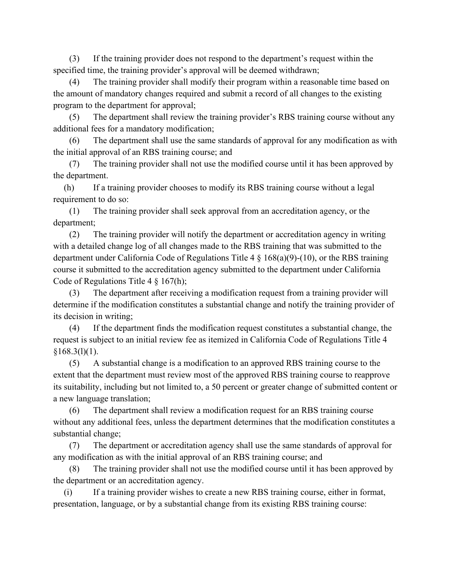(3) If the training provider does not respond to the department's request within the specified time, the training provider's approval will be deemed withdrawn;

(4) The training provider shall modify their program within a reasonable time based on the amount of mandatory changes required and submit a record of all changes to the existing program to the department for approval;

(5) The department shall review the training provider's RBS training course without any additional fees for a mandatory modification;

(6) The department shall use the same standards of approval for any modification as with the initial approval of an RBS training course; and

(7) The training provider shall not use the modified course until it has been approved by the department.

(h) If a training provider chooses to modify its RBS training course without a legal requirement to do so:

(1) The training provider shall seek approval from an accreditation agency, or the department;

(2) The training provider will notify the department or accreditation agency in writing with a detailed change log of all changes made to the RBS training that was submitted to the department under California Code of Regulations Title 4 § 168(a)(9)-(10), or the RBS training course it submitted to the accreditation agency submitted to the department under California Code of Regulations Title 4 § 167(h);

(3) The department after receiving a modification request from a training provider will determine if the modification constitutes a substantial change and notify the training provider of its decision in writing;

(4) If the department finds the modification request constitutes a substantial change, the request is subject to an initial review fee as itemized in California Code of Regulations Title 4  $$168.3(1)(1).$ 

(5) A substantial change is a modification to an approved RBS training course to the extent that the department must review most of the approved RBS training course to reapprove its suitability, including but not limited to, a 50 percent or greater change of submitted content or a new language translation;

(6) The department shall review a modification request for an RBS training course without any additional fees, unless the department determines that the modification constitutes a substantial change;

(7) The department or accreditation agency shall use the same standards of approval for any modification as with the initial approval of an RBS training course; and

(8) The training provider shall not use the modified course until it has been approved by the department or an accreditation agency.

(i) If a training provider wishes to create a new RBS training course, either in format, presentation, language, or by a substantial change from its existing RBS training course: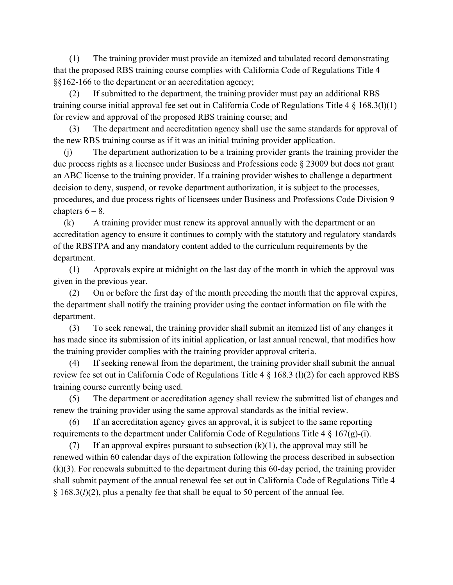(1) The training provider must provide an itemized and tabulated record demonstrating that the proposed RBS training course complies with California Code of Regulations Title 4 §§162-166 to the department or an accreditation agency;

(2) If submitted to the department, the training provider must pay an additional RBS training course initial approval fee set out in California Code of Regulations Title 4 § 168.3(l)(1) for review and approval of the proposed RBS training course; and

(3) The department and accreditation agency shall use the same standards for approval of the new RBS training course as if it was an initial training provider application.

(j) The department authorization to be a training provider grants the training provider the due process rights as a licensee under Business and Professions code § 23009 but does not grant an ABC license to the training provider. If a training provider wishes to challenge a department decision to deny, suspend, or revoke department authorization, it is subject to the processes, procedures, and due process rights of licensees under Business and Professions Code Division 9 chapters  $6 - 8$ .

(k) A training provider must renew its approval annually with the department or an accreditation agency to ensure it continues to comply with the statutory and regulatory standards of the RBSTPA and any mandatory content added to the curriculum requirements by the department.

(1) Approvals expire at midnight on the last day of the month in which the approval was given in the previous year.

(2) On or before the first day of the month preceding the month that the approval expires, the department shall notify the training provider using the contact information on file with the department.

(3) To seek renewal, the training provider shall submit an itemized list of any changes it has made since its submission of its initial application, or last annual renewal, that modifies how the training provider complies with the training provider approval criteria.

(4) If seeking renewal from the department, the training provider shall submit the annual review fee set out in California Code of Regulations Title 4 § 168.3 (l)(2) for each approved RBS training course currently being used.

(5) The department or accreditation agency shall review the submitted list of changes and renew the training provider using the same approval standards as the initial review.

(6) If an accreditation agency gives an approval, it is subject to the same reporting requirements to the department under California Code of Regulations Title 4  $\S$  167(g)-(i).

(7) If an approval expires pursuant to subsection  $(k)(1)$ , the approval may still be renewed within 60 calendar days of the expiration following the process described in subsection (k)(3). For renewals submitted to the department during this 60-day period, the training provider shall submit payment of the annual renewal fee set out in California Code of Regulations Title 4 § 168.3(*l*)(2), plus a penalty fee that shall be equal to 50 percent of the annual fee.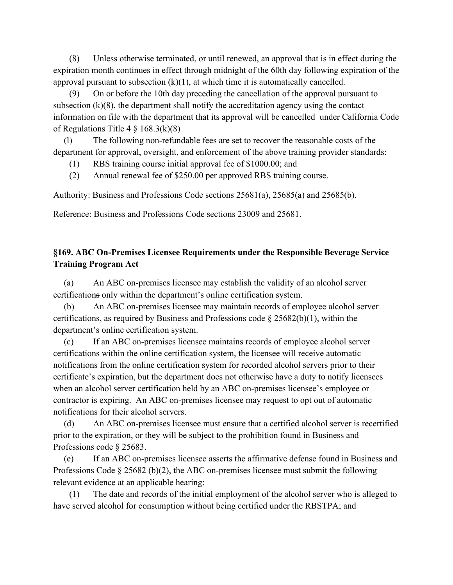(8) Unless otherwise terminated, or until renewed, an approval that is in effect during the expiration month continues in effect through midnight of the 60th day following expiration of the approval pursuant to subsection  $(k)(1)$ , at which time it is automatically cancelled.

(9) On or before the 10th day preceding the cancellation of the approval pursuant to subsection (k)(8), the department shall notify the accreditation agency using the contact information on file with the department that its approval will be cancelled under California Code of Regulations Title  $4 \S 168.3(k)(8)$ 

(l) The following non-refundable fees are set to recover the reasonable costs of the department for approval, oversight, and enforcement of the above training provider standards:

(1) RBS training course initial approval fee of \$1000.00; and

(2) Annual renewal fee of \$250.00 per approved RBS training course.

Authority: Business and Professions Code sections 25681(a), 25685(a) and 25685(b).

Reference: Business and Professions Code sections 23009 and 25681.

# **§169. ABC On-Premises Licensee Requirements under the Responsible Beverage Service Training Program Act**

(a) An ABC on-premises licensee may establish the validity of an alcohol server certifications only within the department's online certification system.

(b) An ABC on-premises licensee may maintain records of employee alcohol server certifications, as required by Business and Professions code § 25682(b)(1), within the department's online certification system.

(c) If an ABC on-premises licensee maintains records of employee alcohol server certifications within the online certification system, the licensee will receive automatic notifications from the online certification system for recorded alcohol servers prior to their certificate's expiration, but the department does not otherwise have a duty to notify licensees when an alcohol server certification held by an ABC on-premises licensee's employee or contractor is expiring. An ABC on-premises licensee may request to opt out of automatic notifications for their alcohol servers.

(d) An ABC on-premises licensee must ensure that a certified alcohol server is recertified prior to the expiration, or they will be subject to the prohibition found in Business and Professions code § 25683.

(e) If an ABC on-premises licensee asserts the affirmative defense found in Business and Professions Code  $\S 25682$  (b)(2), the ABC on-premises licensee must submit the following relevant evidence at an applicable hearing:

(1) The date and records of the initial employment of the alcohol server who is alleged to have served alcohol for consumption without being certified under the RBSTPA; and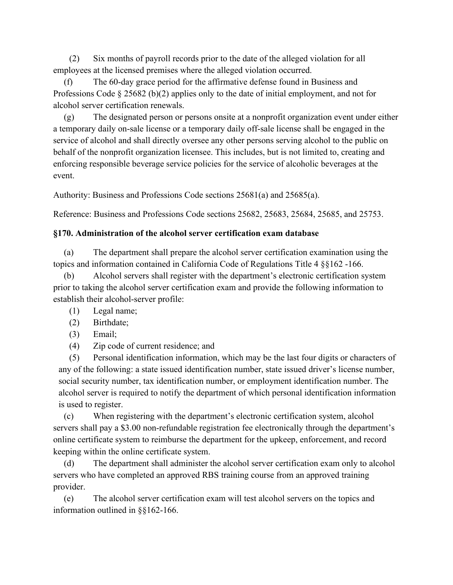(2) Six months of payroll records prior to the date of the alleged violation for all employees at the licensed premises where the alleged violation occurred.

(f) The 60-day grace period for the affirmative defense found in Business and Professions Code § 25682 (b)(2) applies only to the date of initial employment, and not for alcohol server certification renewals.

(g) The designated person or persons onsite at a nonprofit organization event under either a temporary daily on-sale license or a temporary daily off-sale license shall be engaged in the service of alcohol and shall directly oversee any other persons serving alcohol to the public on behalf of the nonprofit organization licensee. This includes, but is not limited to, creating and enforcing responsible beverage service policies for the service of alcoholic beverages at the event.

Authority: Business and Professions Code sections 25681(a) and 25685(a).

Reference: Business and Professions Code sections 25682, 25683, 25684, 25685, and 25753.

### **§170. Administration of the alcohol server certification exam database**

(a) The department shall prepare the alcohol server certification examination using the topics and information contained in California Code of Regulations Title 4 §§162 -166.

(b) Alcohol servers shall register with the department's electronic certification system prior to taking the alcohol server certification exam and provide the following information to establish their alcohol-server profile:

- (1) Legal name;
- (2) Birthdate;
- (3) Email;
- (4) Zip code of current residence; and

(5) Personal identification information, which may be the last four digits or characters of any of the following: a state issued identification number, state issued driver's license number, social security number, tax identification number, or employment identification number. The alcohol server is required to notify the department of which personal identification information is used to register.

(c) When registering with the department's electronic certification system, alcohol servers shall pay a \$3.00 non-refundable registration fee electronically through the department's online certificate system to reimburse the department for the upkeep, enforcement, and record keeping within the online certificate system.

(d) The department shall administer the alcohol server certification exam only to alcohol servers who have completed an approved RBS training course from an approved training provider.

(e) The alcohol server certification exam will test alcohol servers on the topics and information outlined in §§162-166.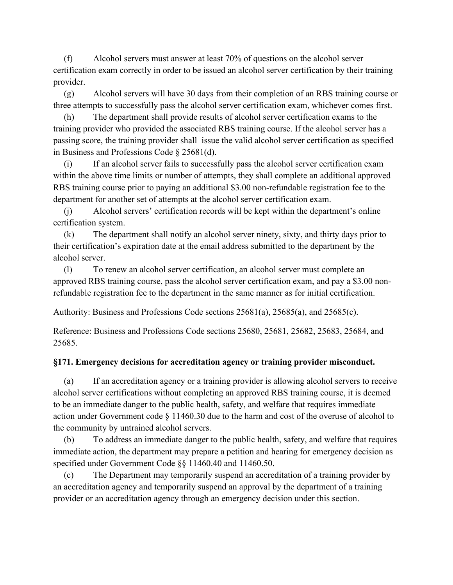(f) Alcohol servers must answer at least 70% of questions on the alcohol server certification exam correctly in order to be issued an alcohol server certification by their training provider.

(g) Alcohol servers will have 30 days from their completion of an RBS training course or three attempts to successfully pass the alcohol server certification exam, whichever comes first.

(h) The department shall provide results of alcohol server certification exams to the training provider who provided the associated RBS training course. If the alcohol server has a passing score, the training provider shall issue the valid alcohol server certification as specified in Business and Professions Code § 25681(d).

(i) If an alcohol server fails to successfully pass the alcohol server certification exam within the above time limits or number of attempts, they shall complete an additional approved RBS training course prior to paying an additional \$3.00 non-refundable registration fee to the department for another set of attempts at the alcohol server certification exam.

(j) Alcohol servers' certification records will be kept within the department's online certification system.

(k) The department shall notify an alcohol server ninety, sixty, and thirty days prior to their certification's expiration date at the email address submitted to the department by the alcohol server.

(l) To renew an alcohol server certification, an alcohol server must complete an approved RBS training course, pass the alcohol server certification exam, and pay a \$3.00 nonrefundable registration fee to the department in the same manner as for initial certification.

Authority: Business and Professions Code sections 25681(a), 25685(a), and 25685(c).

Reference: Business and Professions Code sections 25680, 25681, 25682, 25683, 25684, and 25685.

# **§171. Emergency decisions for accreditation agency or training provider misconduct.**

(a) If an accreditation agency or a training provider is allowing alcohol servers to receive alcohol server certifications without completing an approved RBS training course, it is deemed to be an immediate danger to the public health, safety, and welfare that requires immediate action under Government code § 11460.30 due to the harm and cost of the overuse of alcohol to the community by untrained alcohol servers.

(b) To address an immediate danger to the public health, safety, and welfare that requires immediate action, the department may prepare a petition and hearing for emergency decision as specified under Government Code §§ 11460.40 and 11460.50.

(c) The Department may temporarily suspend an accreditation of a training provider by an accreditation agency and temporarily suspend an approval by the department of a training provider or an accreditation agency through an emergency decision under this section.